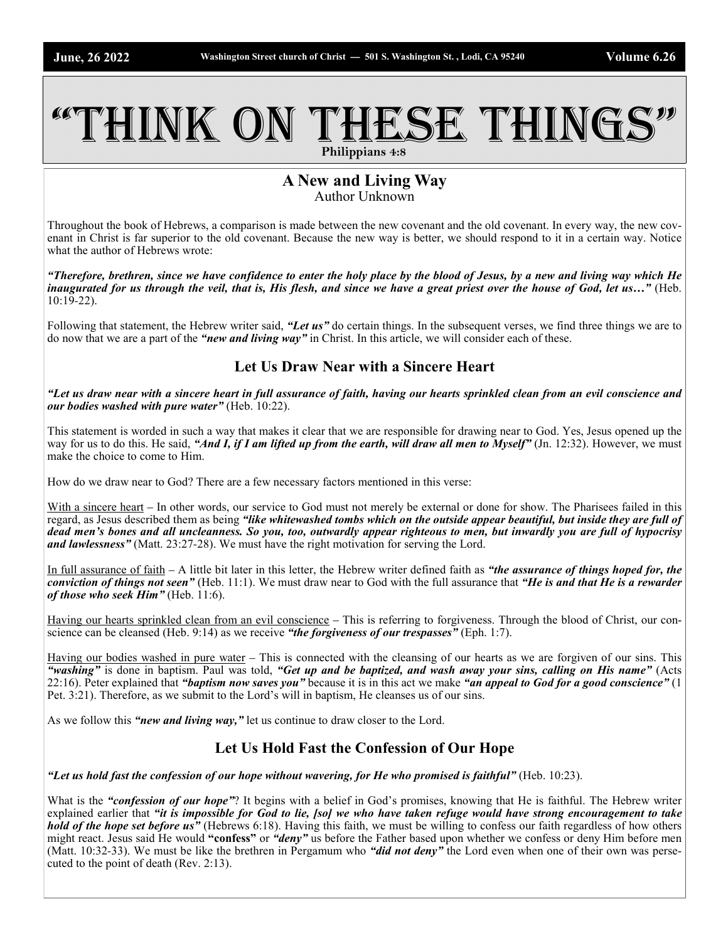# THINK ON THESE THINGS **Philippians 4:8**

#### **A New and Living Way** Author Unknown

Throughout the book of Hebrews, a comparison is made between the new covenant and the old covenant. In every way, the new covenant in Christ is far superior to the old covenant. Because the new way is better, we should respond to it in a certain way. Notice what the author of Hebrews wrote:

*"Therefore, brethren, since we have confidence to enter the holy place by the blood of Jesus, by a new and living way which He inaugurated for us through the veil, that is, His flesh, and since we have a great priest over the house of God, let us...*" (Heb. 10:19-22).

Following that statement, the Hebrew writer said, *"Let us"* do certain things. In the subsequent verses, we find three things we are to do now that we are a part of the *"new and living way"* in Christ. In this article, we will consider each of these.

### **Let Us Draw Near with a Sincere Heart**

*"Let us draw near with a sincere heart in full assurance of faith, having our hearts sprinkled clean from an evil conscience and our bodies washed with pure water"* (Heb. 10:22).

This statement is worded in such a way that makes it clear that we are responsible for drawing near to God. Yes, Jesus opened up the way for us to do this. He said, "And I, if I am lifted up from the earth, will draw all men to Myself" (Jn. 12:32). However, we must make the choice to come to Him.

How do we draw near to God? There are a few necessary factors mentioned in this verse:

With a sincere heart – In other words, our service to God must not merely be external or done for show. The Pharisees failed in this regard, as Jesus described them as being *"like whitewashed tombs which on the outside appear beautiful, but inside they are full of dead men's bones and all uncleanness. So you, too, outwardly appear righteous to men, but inwardly you are full of hypocrisy and lawlessness"* (Matt. 23:27-28). We must have the right motivation for serving the Lord.

In full assurance of faith – A little bit later in this letter, the Hebrew writer defined faith as *"the assurance of things hoped for, the conviction of things not seen"* (Heb. 11:1). We must draw near to God with the full assurance that *"He is and that He is a rewarder of those who seek Him"* (Heb. 11:6).

Having our hearts sprinkled clean from an evil conscience – This is referring to forgiveness. Through the blood of Christ, our conscience can be cleansed (Heb. 9:14) as we receive *"the forgiveness of our trespasses"* (Eph. 1:7).

Having our bodies washed in pure water – This is connected with the cleansing of our hearts as we are forgiven of our sins. This *"washing"* is done in baptism. Paul was told, *"Get up and be baptized, and wash away your sins, calling on His name"* (Acts 22:16). Peter explained that *"baptism now saves you"* because it is in this act we make *"an appeal to God for a good conscience"* (1 Pet. 3:21). Therefore, as we submit to the Lord's will in baptism, He cleanses us of our sins.

As we follow this *"new and living way,"* let us continue to draw closer to the Lord.

# **Let Us Hold Fast the Confession of Our Hope**

*"Let us hold fast the confession of our hope without wavering, for He who promised is faithful"* (Heb. 10:23).

What is the *"confession of our hope"*? It begins with a belief in God's promises, knowing that He is faithful. The Hebrew writer explained earlier that *"it is impossible for God to lie, [so] we who have taken refuge would have strong encouragement to take hold of the hope set before us*" (Hebrews 6:18). Having this faith, we must be willing to confess our faith regardless of how others might react. Jesus said He would **"confess"** or *"deny"* us before the Father based upon whether we confess or deny Him before men (Matt. 10:32-33). We must be like the brethren in Pergamum who *"did not deny"* the Lord even when one of their own was persecuted to the point of death (Rev. 2:13).